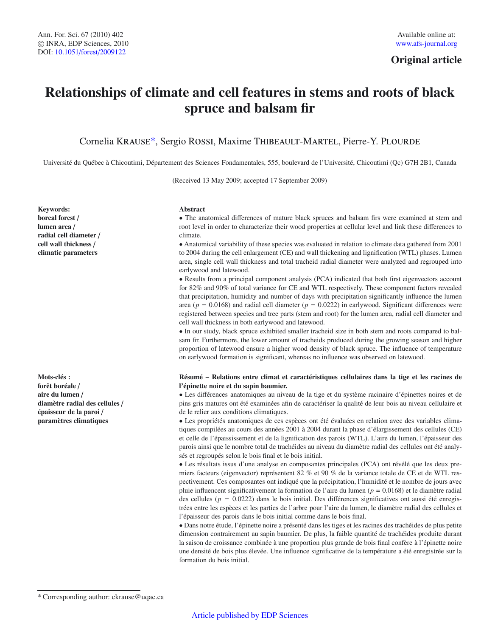# **Original article**

# **Relationships of climate and cell features in stems and roots of black spruce and balsam fir**

Cornelia Krause\*, Sergio Rossi, Maxime Thibeault-Martel, Pierre-Y. Plourde

Université du Québec à Chicoutimi, Département des Sciences Fondamentales, 555, boulevard de l'Université, Chicoutimi (Qc) G7H 2B1, Canada

(Received 13 May 2009; accepted 17 September 2009)

**Keywords:**

**boreal forest** / **lumen area** / **radial cell diameter** / **cell wall thickness** / **climatic parameters**

**Mots-clés : forêt boréale** / **aire du lumen** / **diamètre radial des cellules** / **épaisseur de la paroi** / **paramètres climatiques**

# **Abstract**

• The anatomical differences of mature black spruces and balsam firs were examined at stem and root level in order to characterize their wood properties at cellular level and link these differences to climate.

• Anatomical variability of these species was evaluated in relation to climate data gathered from 2001 to 2004 during the cell enlargement (CE) and wall thickening and lignification (WTL) phases. Lumen area, single cell wall thickness and total tracheid radial diameter were analyzed and regrouped into earlywood and latewood.

• Results from a principal component analysis (PCA) indicated that both first eigenvectors account for 82% and 90% of total variance for CE and WTL respectively. These component factors revealed that precipitation, humidity and number of days with precipitation significantly influence the lumen area ( $p = 0.0168$ ) and radial cell diameter ( $p = 0.0222$ ) in earlywood. Significant differences were registered between species and tree parts (stem and root) for the lumen area, radial cell diameter and cell wall thickness in both earlywood and latewood.

• In our study, black spruce exhibited smaller tracheid size in both stem and roots compared to balsam fir. Furthermore, the lower amount of tracheids produced during the growing season and higher proportion of latewood ensure a higher wood density of black spruce. The influence of temperature on earlywood formation is significant, whereas no influence was observed on latewood.

# **Résumé – Relations entre climat et caractéristiques cellulaires dans la tige et les racines de l'épinette noire et du sapin baumier.**

• Les différences anatomiques au niveau de la tige et du système racinaire d'épinettes noires et de pins gris matures ont été examinées afin de caractériser la qualité de leur bois au niveau cellulaire et de le relier aux conditions climatiques.

• Les propriétés anatomiques de ces espèces ont été évaluées en relation avec des variables climatiques compilées au cours des années 2001 à 2004 durant la phase d'élargissement des cellules (CE) et celle de l'épaississement et de la lignification des parois (WTL). L'aire du lumen, l'épaisseur des parois ainsi que le nombre total de trachéides au niveau du diamètre radial des cellules ont été analysés et regroupés selon le bois final et le bois initial.

• Les résultats issus d'une analyse en composantes principales (PCA) ont révélé que les deux premiers facteurs (eigenvector) représentent 82 % et 90 % de la variance totale de CE et de WTL respectivement. Ces composantes ont indiqué que la précipitation, l'humidité et le nombre de jours avec pluie influencent significativement la formation de l'aire du lumen (*p* = 0.0168) et le diamètre radial des cellules (*p* = 0.0222) dans le bois initial. Des différences significatives ont aussi été enregistrées entre les espèces et les parties de l'arbre pour l'aire du lumen, le diamètre radial des cellules et l'épaisseur des parois dans le bois initial comme dans le bois final.

• Dans notre étude, l'épinette noire a présenté dans les tiges et les racines des trachéides de plus petite dimension contrairement au sapin baumier. De plus, la faible quantité de trachéides produite durant la saison de croissance combinée à une proportion plus grande de bois final confère à l'épinette noire une densité de bois plus élevée. Une influence significative de la température a été enregistrée sur la formation du bois initial.

<sup>\*</sup> Corresponding author: ckrause@uqac.ca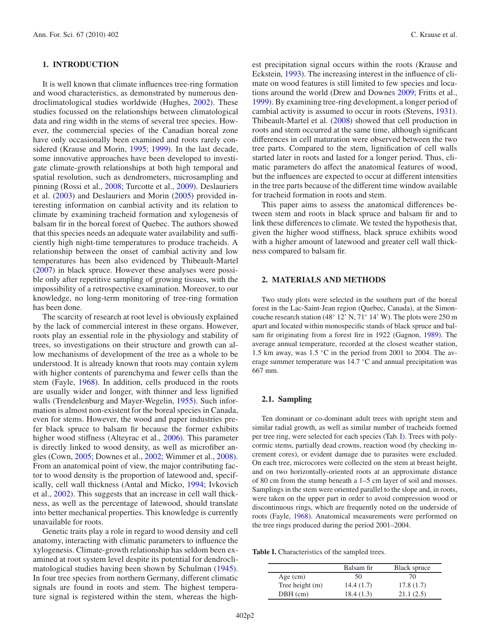# **1. INTRODUCTION**

It is well known that climate influences tree-ring formation and wood characteristics, as demonstrated by numerous dendroclimatological studies worldwide (Hughes, [2002\)](#page-6-0). These studies focussed on the relationships between climatological data and ring width in the stems of several tree species. However, the commercial species of the Canadian boreal zone have only occasionally been examined and roots rarely considered (Krause and Morin, [1995;](#page-6-1) [1999](#page-6-2)). In the last decade, some innovative approaches have been developed to investigate climate-growth relationships at both high temporal and spatial resolution, such as dendrometers, microsampling and pinning (Rossi et al., [2008;](#page-6-3) Turcotte et al., [2009\)](#page-6-4). Deslauriers et al. [\(2003\)](#page-6-5) and Deslauriers and Morin [\(2005\)](#page-6-6) provided interesting information on cambial activity and its relation to climate by examining tracheid formation and xylogenesis of balsam fir in the boreal forest of Quebec. The authors showed that this species needs an adequate water availability and sufficiently high night-time temperatures to produce tracheids. A relationship between the onset of cambial activity and low temperatures has been also evidenced by Thibeault-Martel [\(2007\)](#page-6-7) in black spruce. However these analyses were possible only after repetitive sampling of growing tissues, with the impossibility of a retrospective examination. Moreover, to our knowledge, no long-term monitoring of tree-ring formation has been done.

The scarcity of research at root level is obviously explained by the lack of commercial interest in these organs. However, roots play an essential role in the physiology and stability of trees, so investigations on their structure and growth can allow mechanisms of development of the tree as a whole to be understood. It is already known that roots may contain xylem with higher contents of parenchyma and fewer cells than the stem (Fayle, [1968](#page-6-8)). In addition, cells produced in the roots are usually wider and longer, with thinner and less lignified walls (Trendelenburg and Mayer-Wegelin, [1955](#page-6-9)). Such information is almost non-existent for the boreal species in Canada, even for stems. However, the wood and paper industries prefer black spruce to balsam fir because the former exhibits higher wood stiffness (Alteyrac et al., [2006\)](#page-6-10). This parameter is directly linked to wood density, as well as microfiber angles (Cown, [2005;](#page-6-11) Downes et al., [2002;](#page-6-12) Wimmer et al., [2008\)](#page-6-13). From an anatomical point of view, the major contributing factor to wood density is the proportion of latewood and, specifically, cell wall thickness (Antal and Micko, [1994;](#page-6-14) Ivkovich et al., [2002\)](#page-6-15). This suggests that an increase in cell wall thickness, as well as the percentage of latewood, should translate into better mechanical properties. This knowledge is currently unavailable for roots.

Genetic traits play a role in regard to wood density and cell anatomy, interacting with climatic parameters to influence the xylogenesis. Climate-growth relationship has seldom been examined at root system level despite its potential for dendroclimatological studies having been shown by Schulman [\(1945\)](#page-6-16). In four tree species from northern Germany, different climatic signals are found in roots and stem. The highest temperature signal is registered within the stem, whereas the high-

est precipitation signal occurs within the roots (Krause and Eckstein, [1993\)](#page-6-17). The increasing interest in the influence of climate on wood features is still limited to few species and locations around the world (Drew and Downes [2009](#page-6-18); Fritts et al., [1999\)](#page-6-19). By examining tree-ring development, a longer period of cambial activity is assumed to occur in roots (Stevens, [1931](#page-6-20)). Thibeault-Martel et al. [\(2008\)](#page-6-21) showed that cell production in roots and stem occurred at the same time, although significant differences in cell maturation were observed between the two tree parts. Compared to the stem, lignification of cell walls started later in roots and lasted for a longer period. Thus, climatic parameters do affect the anatomical features of wood, but the influences are expected to occur at different intensities in the tree parts because of the different time window available for tracheid formation in roots and stem.

This paper aims to assess the anatomical differences between stem and roots in black spruce and balsam fir and to link these differences to climate. We tested the hypothesis that, given the higher wood stiffness, black spruce exhibits wood with a higher amount of latewood and greater cell wall thickness compared to balsam fir.

#### **2. MATERIALS AND METHODS**

Two study plots were selected in the southern part of the boreal forest in the Lac-Saint-Jean region (Quebec, Canada), at the Simoncouche research station (48◦ 12' N, 71◦ 14' W). The plots were 250 m apart and located within monospecific stands of black spruce and balsam fir originating from a forest fire in 1922 (Gagnon, [1989](#page-6-22)). The average annual temperature, recorded at the closest weather station, 1.5 km away, was 1.5 ◦C in the period from 2001 to 2004. The average summer temperature was 14.7 ◦C and annual precipitation was 667 mm.

# **2.1. Sampling**

<span id="page-1-0"></span>Ten dominant or co-dominant adult trees with upright stem and similar radial growth, as well as similar number of tracheids formed per tree ring, were selected for each species (Tab. [I\)](#page-1-0). Trees with polycormic stems, partially dead crowns, reaction wood (by checking increment cores), or evident damage due to parasites were excluded. On each tree, microcores were collected on the stem at breast height, and on two horizontally-oriented roots at an approximate distance of 80 cm from the stump beneath a 1–5 cm layer of soil and mosses. Samplings in the stem were oriented parallel to the slope and, in roots, were taken on the upper part in order to avoid compression wood or discontinuous rings, which are frequently noted on the underside of roots (Fayle, [1968\)](#page-6-8). Anatomical measurements were performed on the tree rings produced during the period 2001–2004.

**Table I.** Characteristics of the sampled trees.

|                 | Balsam fir | Black spruce |
|-----------------|------------|--------------|
| Age $(cm)$      | 50         | 70           |
| Tree height (m) | 14.4(1.7)  | 17.8(1.7)    |
| $DBH$ (cm)      | 18.4(1.3)  | 21.1(2.5)    |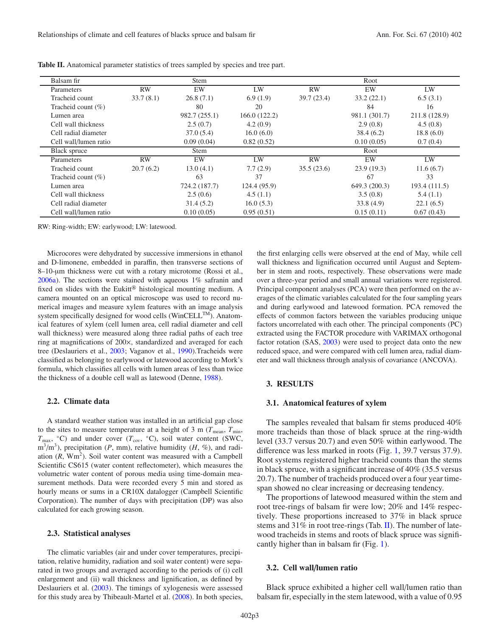| Balsam fir             |           | <b>Stem</b>   |              |            | Root          |               |
|------------------------|-----------|---------------|--------------|------------|---------------|---------------|
| Parameters             | RW        | EW            | LW           | <b>RW</b>  | EW            | LW.           |
| Tracheid count         | 33.7(8.1) | 26.8(7.1)     | 6.9(1.9)     | 39.7(23.4) | 33.2(22.1)    | 6.5(3.1)      |
| Tracheid count $(\% )$ |           | 80            | 20           |            | 84            | 16            |
| Lumen area             |           | 982.7 (255.1) | 166.0(122.2) |            | 981.1 (301.7) | 211.8 (128.9) |
| Cell wall thickness    |           | 2.5(0.7)      | 4.2(0.9)     |            | 2.9(0.8)      | 4.5(0.8)      |
| Cell radial diameter   |           | 37.0(5.4)     | 16.0(6.0)    |            | 38.4(6.2)     | 18.8(6.0)     |
| Cell wall/lumen ratio  |           | 0.09(0.04)    | 0.82(0.52)   |            | 0.10(0.05)    | 0.7(0.4)      |
| Black spruce           |           | <b>Stem</b>   |              |            | Root          |               |
| Parameters             | RW        | EW            | LW           | <b>RW</b>  | EW            | LW.           |
| Tracheid count         | 20.7(6.2) | 13.0(4.1)     | 7.7(2.9)     | 35.5(23.6) | 23.9(19.3)    | 11.6(6.7)     |
| Tracheid count $(\% )$ |           | 63            | 37           |            | 67            | 33            |
| Lumen area             |           | 724.2 (187.7) | 124.4 (95.9) |            | 649.3 (200.3) | 193.4 (111.5) |
| Cell wall thickness    |           | 2.5(0.6)      | 4.5(1.1)     |            | 3.5(0.8)      | 5.4(1.1)      |
| Cell radial diameter   |           | 31.4(5.2)     | 16.0(5.3)    |            | 33.8(4.9)     | 22.1(6.5)     |
| Cell wall/lumen ratio  |           | 0.10(0.05)    | 0.95(0.51)   |            | 0.15(0.11)    | 0.67(0.43)    |

<span id="page-2-0"></span>**Table II.** Anatomical parameter statistics of trees sampled by species and tree part.

RW: Ring-width; EW: earlywood; LW: latewood.

Microcores were dehydrated by successive immersions in ethanol and D-limonene, embedded in paraffin, then transverse sections of 8–10-µm thickness were cut with a rotary microtome (Rossi et al., [2006a](#page-6-23)). The sections were stained with aqueous 1% safranin and fixed on slides with the Eukitt® histological mounting medium. A camera mounted on an optical microscope was used to record numerical images and measure xylem features with an image analysis system specifically designed for wood cells (WinCELL<sup>TM</sup>). Anatomical features of xylem (cell lumen area, cell radial diameter and cell wall thickness) were measured along three radial paths of each tree ring at magnifications of 200×, standardized and averaged for each tree (Deslauriers et al., [2003](#page-6-5); Vaganov et al., [1990](#page-6-24)).Tracheids were classified as belonging to earlywood or latewood according to Mork's formula, which classifies all cells with lumen areas of less than twice the thickness of a double cell wall as latewood (Denne, [1988\)](#page-6-25).

## **2.2. Climate data**

A standard weather station was installed in an artificial gap close to the sites to measure temperature at a height of 3 m ( $T_{\text{mean}}$ ,  $T_{\text{min}}$ ,  $T_{\text{max}}$ , °C) and under cover ( $T_{\text{cov}}$ , °C), soil water content (SWC,  $m^3/m^3$ ), precipitation (*P*, mm), relative humidity (*H*, %), and radiation  $(R, Wm^2)$ . Soil water content was measured with a Campbell Scientific CS615 (water content reflectometer), which measures the volumetric water content of porous media using time-domain measurement methods. Data were recorded every 5 min and stored as hourly means or sums in a CR10X datalogger (Campbell Scientific Corporation). The number of days with precipitation (DP) was also calculated for each growing season.

# **2.3. Statistical analyses**

The climatic variables (air and under cover temperatures, precipitation, relative humidity, radiation and soil water content) were separated in two groups and averaged according to the periods of (i) cell enlargement and (ii) wall thickness and lignification, as defined by Deslauriers et al. [\(2003\)](#page-6-5). The timings of xylogenesis were assessed for this study area by Thibeault-Martel et al. [\(2008](#page-6-21)). In both species,

the first enlarging cells were observed at the end of May, while cell wall thickness and lignification occurred until August and September in stem and roots, respectively. These observations were made over a three-year period and small annual variations were registered. Principal component analyses (PCA) were then performed on the averages of the climatic variables calculated for the four sampling years and during earlywood and latewood formation. PCA removed the effects of common factors between the variables producing unique factors uncorrelated with each other. The principal components (PC) extracted using the FACTOR procedure with VARIMAX orthogonal factor rotation (SAS, [2003](#page-6-26)) were used to project data onto the new reduced space, and were compared with cell lumen area, radial diameter and wall thickness through analysis of covariance (ANCOVA).

#### **3. RESULTS**

#### **3.1. Anatomical features of xylem**

The samples revealed that balsam fir stems produced 40% more tracheids than those of black spruce at the ring-width level (33.7 versus 20.7) and even 50% within earlywood. The difference was less marked in roots (Fig. [1,](#page-3-0) 39.7 versus 37.9). Root systems registered higher tracheid counts than the stems in black spruce, with a significant increase of 40% (35.5 versus 20.7). The number of tracheids produced over a four year timespan showed no clear increasing or decreasing tendency.

The proportions of latewood measured within the stem and root tree-rings of balsam fir were low; 20% and 14% respectively. These proportions increased to 37% in black spruce stems and 31% in root tree-rings (Tab. [II\)](#page-2-0). The number of latewood tracheids in stems and roots of black spruce was significantly higher than in balsam fir (Fig. [1\)](#page-3-0).

# **3.2. Cell wall**/**lumen ratio**

Black spruce exhibited a higher cell wall/lumen ratio than balsam fir, especially in the stem latewood, with a value of 0.95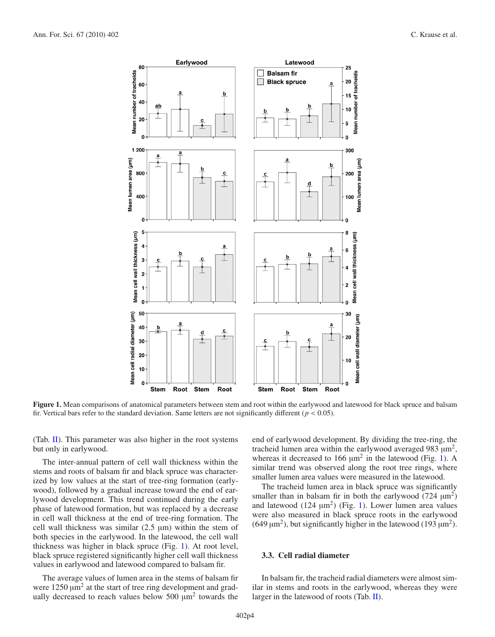

<span id="page-3-0"></span>**Figure 1.** Mean comparisons of anatomical parameters between stem and root within the earlywood and latewood for black spruce and balsam fir. Vertical bars refer to the standard deviation. Same letters are not significantly different ( $p < 0.05$ ).

(Tab.  $II$ ). This parameter was also higher in the root systems but only in earlywood.

The inter-annual pattern of cell wall thickness within the stems and roots of balsam fir and black spruce was characterized by low values at the start of tree-ring formation (earlywood), followed by a gradual increase toward the end of earlywood development. This trend continued during the early phase of latewood formation, but was replaced by a decrease in cell wall thickness at the end of tree-ring formation. The cell wall thickness was similar  $(2.5 \mu m)$  within the stem of both species in the earlywood. In the latewood, the cell wall thickness was higher in black spruce (Fig. [1\)](#page-3-0). At root level, black spruce registered significantly higher cell wall thickness values in earlywood and latewood compared to balsam fir.

The average values of lumen area in the stems of balsam fir were  $1250 \mu m^2$  at the start of tree ring development and gradually decreased to reach values below  $500 \mu m^2$  towards the end of earlywood development. By dividing the tree-ring, the tracheid lumen area within the earlywood averaged 983  $\mu$ m<sup>2</sup>, whereas it decreased to  $166 \mu m^2$  in the latewood (Fig. [1\)](#page-3-0). A similar trend was observed along the root tree rings, where smaller lumen area values were measured in the latewood.

The tracheid lumen area in black spruce was significantly smaller than in balsam fir in both the earlywood  $(724 \text{ }\mu\text{m}^2)$ and latewood  $(124 \text{ }\mu\text{m}^2)$  (Fig. [1\)](#page-3-0). Lower lumen area values were also measured in black spruce roots in the earlywood  $(649 \,\mu m^2)$ , but significantly higher in the latewood (193  $\mu m^2$ ).

# **3.3. Cell radial diameter**

In balsam fir, the tracheid radial diameters were almost similar in stems and roots in the earlywood, whereas they were larger in the latewood of roots (Tab. [II\)](#page-2-0).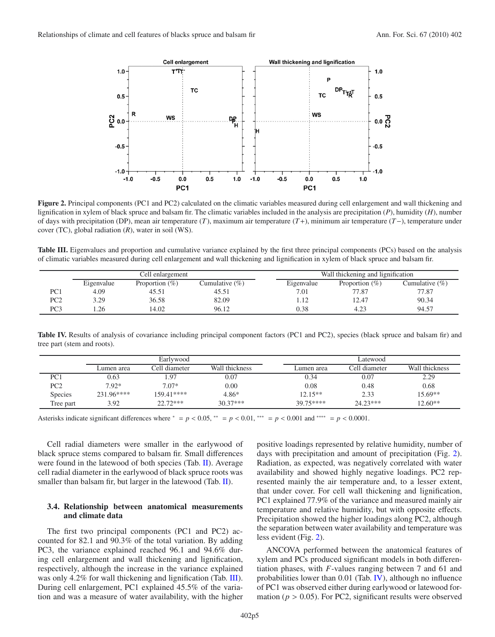<span id="page-4-1"></span>

<span id="page-4-2"></span><span id="page-4-0"></span>**Figure 2.** Principal components (PC1 and PC2) calculated on the climatic variables measured during cell enlargement and wall thickening and lignification in xylem of black spruce and balsam fir. The climatic variables included in the analysis are precipitation (*P*), humidity (*H*), number of days with precipitation (DP), mean air temperature (*T*), maximum air temperature (*T*+), minimum air temperature (*T*−), temperature under cover (TC), global radiation (*R*), water in soil (WS).

**Table III.** Eigenvalues and proportion and cumulative variance explained by the first three principal components (PCs) based on the analysis of climatic variables measured during cell enlargement and wall thickening and lignification in xylem of black spruce and balsam fir.

| Cell enlargement |            |                   | Wall thickening and lignification |            |                   |                   |
|------------------|------------|-------------------|-----------------------------------|------------|-------------------|-------------------|
|                  | Eigenvalue | Proportion $(\%)$ | Cumulative $(\%)$                 | Eigenvalue | Proportion $(\%)$ | Cumulative $(\%)$ |
| PC <sub>1</sub>  | 4.09       | 45.51             | 45.51                             | 7.01       | 77.87             | 77.87             |
| PC <sub>2</sub>  | 3.29       | 36.58             | 82.09                             | 1.12       | 12.47             | 90.34             |
| PC3              | .26        | 14.02             | 96.12                             | 0.38       | 4.23              | 94.57             |

**Table IV.** Results of analysis of covariance including principal component factors (PC1 and PC2), species (black spruce and balsam fir) and tree part (stem and roots).

|                 | Earlywood  |               |                |            | Latewood      |                |  |
|-----------------|------------|---------------|----------------|------------|---------------|----------------|--|
|                 | lumen area | Cell diameter | Wall thickness | Lumen area | Cell diameter | Wall thickness |  |
| PC <sub>1</sub> | 0.63       | 1.97          | 0.07           | 0.34       | 0.07          | 2.29           |  |
| PC <sub>2</sub> | $7.92*$    | $7.07*$       | 0.00           | 0.08       | 0.48          | 0.68           |  |
| <b>Species</b>  | 231.96**** | 159.41****    | $4.86*$        | $12.15**$  | 2.33          | 15.69**        |  |
| Tree part       | 3.92       | $22.72***$    | $30.37***$     | $39.75***$ | $24.23***$    | $12.60**$      |  |

Asterisks indicate significant differences where  $* = p < 0.05$ ,  $* = p < 0.01$ ,  $* * = p < 0.001$  and  $* * * = p < 0.0001$ .

Cell radial diameters were smaller in the earlywood of black spruce stems compared to balsam fir. Small differences were found in the latewood of both species (Tab. [II\)](#page-2-0). Average cell radial diameter in the earlywood of black spruce roots was smaller than balsam fir, but larger in the latewood (Tab.  $II$ ).

# **3.4. Relationship between anatomical measurements and climate data**

The first two principal components (PC1 and PC2) accounted for 82.1 and 90.3% of the total variation. By adding PC3, the variance explained reached 96.1 and 94.6% during cell enlargement and wall thickening and lignification, respectively, although the increase in the variance explained was only 4.2% for wall thickening and lignification (Tab. [III\)](#page-4-0). During cell enlargement, PC1 explained 45.5% of the variation and was a measure of water availability, with the higher

positive loadings represented by relative humidity, number of days with precipitation and amount of precipitation (Fig. [2\)](#page-4-1). Radiation, as expected, was negatively correlated with water availability and showed highly negative loadings. PC2 represented mainly the air temperature and, to a lesser extent, that under cover. For cell wall thickening and lignification, PC1 explained 77.9% of the variance and measured mainly air temperature and relative humidity, but with opposite effects. Precipitation showed the higher loadings along PC2, although the separation between water availability and temperature was less evident (Fig. [2\)](#page-4-1).

ANCOVA performed between the anatomical features of xylem and PCs produced significant models in both differentiation phases, with *F*-values ranging between 7 and 61 and probabilities lower than 0.01 (Tab. [IV\)](#page-4-2), although no influence of PC1 was observed either during earlywood or latewood formation ( $p > 0.05$ ). For PC2, significant results were observed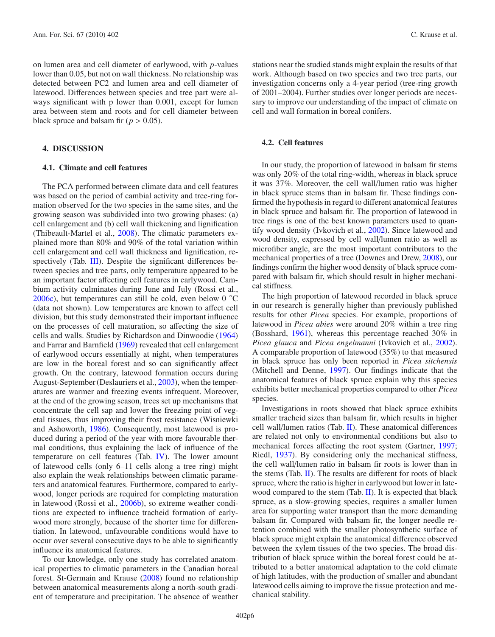on lumen area and cell diameter of earlywood, with *p*-values lower than 0.05, but not on wall thickness. No relationship was detected between PC2 and lumen area and cell diameter of latewood. Differences between species and tree part were always significant with p lower than 0.001, except for lumen area between stem and roots and for cell diameter between black spruce and balsam fir ( $p > 0.05$ ).

# **4. DISCUSSION**

# **4.1. Climate and cell features**

The PCA performed between climate data and cell features was based on the period of cambial activity and tree-ring formation observed for the two species in the same sites, and the growing season was subdivided into two growing phases: (a) cell enlargement and (b) cell wall thickening and lignification (Thibeault-Martel et al., [2008\)](#page-6-21). The climatic parameters explained more than 80% and 90% of the total variation within cell enlargement and cell wall thickness and lignification, re-spectively (Tab. [III\)](#page-4-0). Despite the significant differences between species and tree parts, only temperature appeared to be an important factor affecting cell features in earlywood. Cambium activity culminates during June and July (Rossi et al., [2006c](#page-6-27)), but temperatures can still be cold, even below 0  $\degree$ C (data not shown). Low temperatures are known to affect cell division, but this study demonstrated their important influence on the processes of cell maturation, so affecting the size of cells and walls. Studies by Richardson and Dinwoodie [\(1964](#page-6-28)) and Farrar and Barnfield [\(1969](#page-6-29)) revealed that cell enlargement of earlywood occurs essentially at night, when temperatures are low in the boreal forest and so can significantly affect growth. On the contrary, latewood formation occurs during August-September (Deslauriers et al., [2003](#page-6-5)), when the temperatures are warmer and freezing events infrequent. Moreover, at the end of the growing season, trees set up mechanisms that concentrate the cell sap and lower the freezing point of vegetal tissues, thus improving their frost resistance (Wisniewki and Ashoworth, [1986\)](#page-6-30). Consequently, most latewood is produced during a period of the year with more favourable thermal conditions, thus explaining the lack of influence of the temperature on cell features (Tab.  $IV$ ). The lower amount of latewood cells (only 6–11 cells along a tree ring) might also explain the weak relationships between climatic parameters and anatomical features. Furthermore, compared to earlywood, longer periods are required for completing maturation in latewood (Rossi et al., [2006b\)](#page-6-31), so extreme weather conditions are expected to influence tracheid formation of earlywood more strongly, because of the shorter time for differentiation. In latewood, unfavourable conditions would have to occur over several consecutive days to be able to significantly influence its anatomical features.

To our knowledge, only one study has correlated anatomical properties to climatic parameters in the Canadian boreal forest. St-Germain and Krause [\(2008\)](#page-6-32) found no relationship between anatomical measurements along a north-south gradient of temperature and precipitation. The absence of weather stations near the studied stands might explain the results of that work. Although based on two species and two tree parts, our investigation concerns only a 4-year period (tree-ring growth of 2001–2004). Further studies over longer periods are necessary to improve our understanding of the impact of climate on cell and wall formation in boreal conifers.

# **4.2. Cell features**

In our study, the proportion of latewood in balsam fir stems was only 20% of the total ring-width, whereas in black spruce it was 37%. Moreover, the cell wall/lumen ratio was higher in black spruce stems than in balsam fir. These findings confirmed the hypothesis in regard to different anatomical features in black spruce and balsam fir. The proportion of latewood in tree rings is one of the best known parameters used to quantify wood density (Ivkovich et al., [2002\)](#page-6-15). Since latewood and wood density, expressed by cell wall/lumen ratio as well as microfiber angle, are the most important contributors to the mechanical properties of a tree (Downes and Drew, [2008\)](#page-6-33), our findings confirm the higher wood density of black spruce compared with balsam fir, which should result in higher mechanical stiffness.

The high proportion of latewood recorded in black spruce in our research is generally higher than previously published results for other *Picea* species. For example, proportions of latewood in *Picea abies* were around 20% within a tree ring (Bosshard, [1961\)](#page-6-34), whereas this percentage reached 30% in *Picea glauca* and *Picea engelmanni* (Ivkovich et al., [2002](#page-6-15)). A comparable proportion of latewood (35%) to that measured in black spruce has only been reported in *Picea sitchensis* (Mitchell and Denne, [1997](#page-6-35)). Our findings indicate that the anatomical features of black spruce explain why this species exhibits better mechanical properties compared to other *Picea* species.

Investigations in roots showed that black spruce exhibits smaller tracheid sizes than balsam fir, which results in higher cell wall/lumen ratios (Tab. [II\)](#page-2-0). These anatomical differences are related not only to environmental conditions but also to mechanical forces affecting the root system (Gartner, [1997;](#page-6-36) Riedl, [1937\)](#page-6-37). By considering only the mechanical stiffness, the cell wall/lumen ratio in balsam fir roots is lower than in the stems (Tab.  $II$ ). The results are different for roots of black spruce, where the ratio is higher in earlywood but lower in late-wood compared to the stem (Tab. [II\)](#page-2-0). It is expected that black spruce, as a slow-growing species, requires a smaller lumen area for supporting water transport than the more demanding balsam fir. Compared with balsam fir, the longer needle retention combined with the smaller photosynthetic surface of black spruce might explain the anatomical difference observed between the xylem tissues of the two species. The broad distribution of black spruce within the boreal forest could be attributed to a better anatomical adaptation to the cold climate of high latitudes, with the production of smaller and abundant latewood cells aiming to improve the tissue protection and mechanical stability.